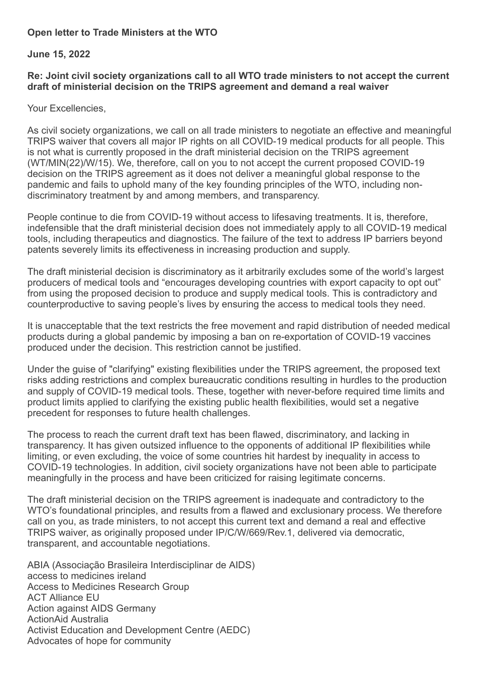## **Open letter to Trade Ministers at the WTO**

## **June 15, 2022**

## **Re: Joint civil society organizations call to all WTO trade ministers to not accept the current draft of ministerial decision on the TRIPS agreement and demand a real waiver**

Your Excellencies,

As civil society organizations, we call on all trade ministers to negotiate an effective and meaningful TRIPS waiver that covers all major IP rights on all COVID-19 medical products for all people. This is not what is currently proposed in the draft ministerial decision on the TRIPS agreement (WT/MIN(22)/W/15). We, therefore, call on you to not accept the current proposed COVID-19 decision on the TRIPS agreement as it does not deliver a meaningful global response to the pandemic and fails to uphold many of the key founding principles of the WTO, including nondiscriminatory treatment by and among members, and transparency.

People continue to die from COVID-19 without access to lifesaving treatments. It is, therefore, indefensible that the draft ministerial decision does not immediately apply to all COVID-19 medical tools, including therapeutics and diagnostics. The failure of the text to address IP barriers beyond patents severely limits its effectiveness in increasing production and supply.

The draft ministerial decision is discriminatory as it arbitrarily excludes some of the world's largest producers of medical tools and "encourages developing countries with export capacity to opt out" from using the proposed decision to produce and supply medical tools. This is contradictory and counterproductive to saving people's lives by ensuring the access to medical tools they need.

It is unacceptable that the text restricts the free movement and rapid distribution of needed medical products during a global pandemic by imposing a ban on re-exportation of COVID-19 vaccines produced under the decision. This restriction cannot be justified.

Under the guise of "clarifying" existing flexibilities under the TRIPS agreement, the proposed text risks adding restrictions and complex bureaucratic conditions resulting in hurdles to the production and supply of COVID-19 medical tools. These, together with never-before required time limits and product limits applied to clarifying the existing public health flexibilities, would set a negative precedent for responses to future health challenges.

The process to reach the current draft text has been flawed, discriminatory, and lacking in transparency. It has given outsized influence to the opponents of additional IP flexibilities while limiting, or even excluding, the voice of some countries hit hardest by inequality in access to COVID-19 technologies. In addition, civil society organizations have not been able to participate meaningfully in the process and have been criticized for raising legitimate concerns.

The draft ministerial decision on the TRIPS agreement is inadequate and contradictory to the WTO's foundational principles, and results from a flawed and exclusionary process. We therefore call on you, as trade ministers, to not accept this current text and demand a real and effective TRIPS waiver, as originally proposed under IP/C/W/669/Rev.1, delivered via democratic, transparent, and accountable negotiations.

ABIA (Associação Brasileira Interdisciplinar de AIDS) access to medicines ireland Access to Medicines Research Group ACT Alliance EU Action against AIDS Germany ActionAid Australia Activist Education and Development Centre (AEDC) Advocates of hope for community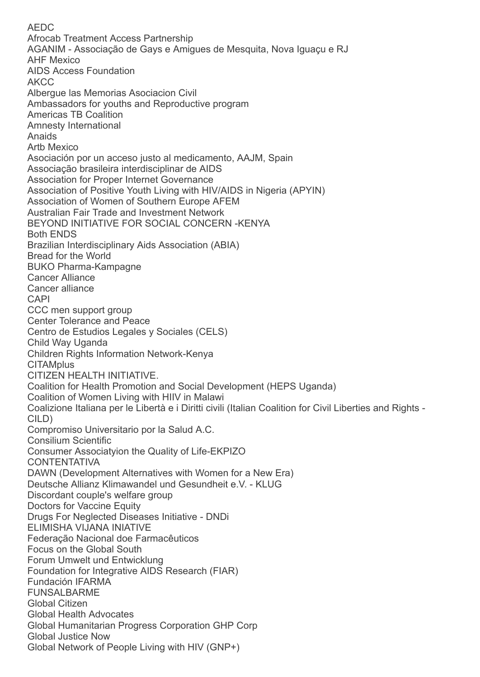AEDC Afrocab Treatment Access Partnership AGANIM - Associação de Gays e Amigues de Mesquita, Nova Iguaçu e RJ AHF Mexico AIDS Access Foundation AKCC Albergue las Memorias Asociacion Civil Ambassadors for youths and Reproductive program Americas TB Coalition Amnesty International Anaids Artb Mexico Asociación por un acceso justo al medicamento, AAJM, Spain Associação brasileira interdisciplinar de AIDS Association for Proper Internet Governance Association of Positive Youth Living with HIV/AIDS in Nigeria (APYIN) Association of Women of Southern Europe AFEM Australian Fair Trade and Investment Network BEYOND INITIATIVE FOR SOCIAL CONCERN -KENYA Both ENDS Brazilian Interdisciplinary Aids Association (ABIA) Bread for the World BUKO Pharma-Kampagne Cancer Alliance Cancer alliance CAPI CCC men support group Center Tolerance and Peace Centro de Estudios Legales y Sociales (CELS) Child Way Uganda Children Rights Information Network-Kenya **CITAMplus** CITIZEN HEALTH INITIATIVE. Coalition for Health Promotion and Social Development (HEPS Uganda) Coalition of Women Living with HIIV in Malawi Coalizione Italiana per le Libertà e i Diritti civili (Italian Coalition for Civil Liberties and Rights - CILD) Compromiso Universitario por la Salud A.C. Consilium Scientific Consumer Associatyion the Quality of Life-EKPIZO CONTENTATIVA DAWN (Development Alternatives with Women for a New Era) Deutsche Allianz Klimawandel und Gesundheit e.V. - KLUG Discordant couple's welfare group Doctors for Vaccine Equity Drugs For Neglected Diseases Initiative - DNDi ELIMISHA VIJANA INIATIVE Federação Nacional doe Farmacêuticos Focus on the Global South Forum Umwelt und Entwicklung Foundation for Integrative AIDS Research (FIAR) Fundación IFARMA FUNSALBARME Global Citizen Global Health Advocates Global Humanitarian Progress Corporation GHP Corp Global Justice Now Global Network of People Living with HIV (GNP+)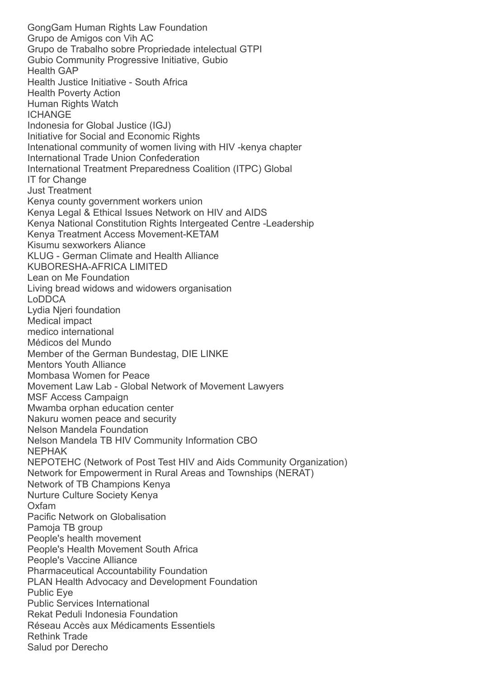GongGam Human Rights Law Foundation Grupo de Amigos con Vih AC Grupo de Trabalho sobre Propriedade intelectual GTPI Gubio Community Progressive Initiative, Gubio Health GAP Health Justice Initiative - South Africa Health Poverty Action Human Rights Watch ICHANGE Indonesia for Global Justice (IGJ) Initiative for Social and Economic Rights Intenational community of women living with HIV -kenya chapter International Trade Union Confederation International Treatment Preparedness Coalition (ITPC) Global IT for Change Just Treatment Kenya county government workers union Kenya Legal & Ethical Issues Network on HIV and AIDS Kenya National Constitution Rights Intergeated Centre -Leadership Kenya Treatment Access Movement-KETAM Kisumu sexworkers Aliance KLUG - German Climate and Health Alliance KUBORESHA-AFRICA LIMITED Lean on Me Foundation Living bread widows and widowers organisation LoDDCA Lydia Njeri foundation Medical impact medico international Médicos del Mundo Member of the German Bundestag, DIE LINKE Mentors Youth Alliance Mombasa Women for Peace Movement Law Lab - Global Network of Movement Lawyers MSF Access Campaign Mwamba orphan education center Nakuru women peace and security Nelson Mandela Foundation Nelson Mandela TB HIV Community Information CBO NEPHAK NEPOTEHC (Network of Post Test HIV and Aids Community Organization) Network for Empowerment in Rural Areas and Townships (NERAT) Network of TB Champions Kenya Nurture Culture Society Kenya Oxfam Pacific Network on Globalisation Pamoja TB group People's health movement People's Health Movement South Africa People's Vaccine Alliance Pharmaceutical Accountability Foundation PLAN Health Advocacy and Development Foundation Public Eye Public Services International Rekat Peduli Indonesia Foundation Réseau Accès aux Médicaments Essentiels Rethink Trade Salud por Derecho